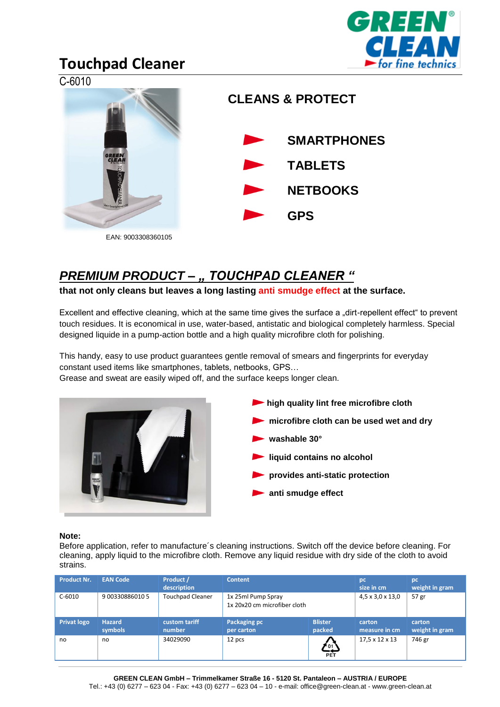

## **Touchpad Cleaner**



### *PREMIUM PRODUCT – " TOUCHPAD CLEANER "*

**that not only cleans but leaves a long lasting anti smudge effect at the surface.** 

Excellent and effective cleaning, which at the same time gives the surface a "dirt-repellent effect" to prevent touch residues. It is economical in use, water-based, antistatic and biological completely harmless. Special designed liquide in a pump-action bottle and a high quality microfibre cloth for polishing.

This handy, easy to use product guarantees gentle removal of smears and fingerprints for everyday constant used items like smartphones, tablets, netbooks, GPS…

Grease and sweat are easily wiped off, and the surface keeps longer clean.





#### **Note:**

Before application, refer to manufacture´s cleaning instructions. Switch off the device before cleaning. For cleaning, apply liquid to the microfibre cloth. Remove any liquid residue with dry side of the cloth to avoid strains.

| <b>Product Nr.</b> | <b>EAN Code</b>          | Product /<br>description | <b>Content</b>                                     |                          | pc<br>size in cm             | pc<br>weight in gram     |
|--------------------|--------------------------|--------------------------|----------------------------------------------------|--------------------------|------------------------------|--------------------------|
| $C-6010$           | 9 00330886010 5          | <b>Touchpad Cleaner</b>  | 1x 25ml Pump Spray<br>1x 20x20 cm microfiber cloth |                          | $4,5 \times 3,0 \times 13,0$ | 57 gr                    |
| <b>Privat logo</b> | <b>Hazard</b><br>symbols | custom tariff<br>number  | Packaging pc<br>per carton                         | <b>Blister</b><br>packed | carton<br>measure in cm      | carton<br>weight in gram |
| no                 | no                       | 34029090                 | 12 pcs                                             | 101<br>PET               | 17,5 x 12 x 13               | 746 gr                   |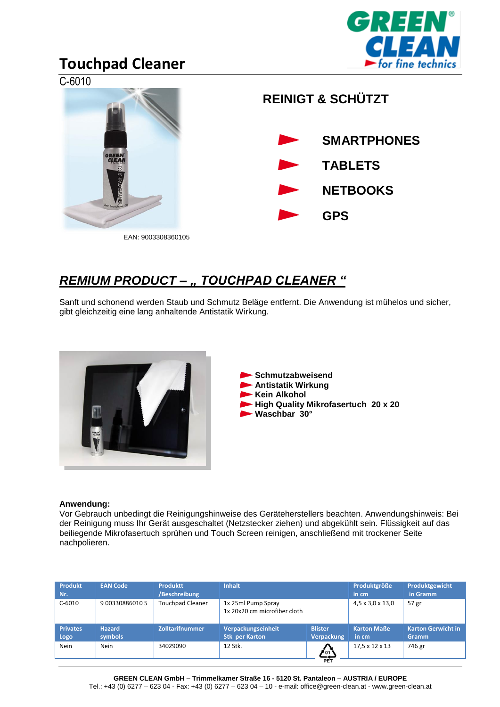

## **Touchpad Cleaner**



### *REMIUM PRODUCT – " TOUCHPAD CLEANER "*

Sanft und schonend werden Staub und Schmutz Beläge entfernt. Die Anwendung ist mühelos und sicher, gibt gleichzeitig eine lang anhaltende Antistatik Wirkung.



**Schmutzabweisend Antistatik Wirkung Kein Alkohol High Quality Mikrofasertuch 20 x 20 Waschbar 30°**

#### **Anwendung:**

Vor Gebrauch unbedingt die Reinigungshinweise des Geräteherstellers beachten. Anwendungshinweis: Bei der Reinigung muss Ihr Gerät ausgeschaltet (Netzstecker ziehen) und abgekühlt sein. Flüssigkeit auf das beiliegende Mikrofasertuch sprühen und Touch Screen reinigen, anschließend mit trockener Seite nachpolieren.

| <b>Produkt</b><br>Nr.   | <b>EAN Code</b>          | <b>Produktt</b><br>/Beschreibung | <b>Inhalt</b>                                      |                              | Produktgröße<br>in cm.      | Produktgewicht<br>in Gramm         |
|-------------------------|--------------------------|----------------------------------|----------------------------------------------------|------------------------------|-----------------------------|------------------------------------|
| $C-6010$                | 9 00330886010 5          | <b>Touchpad Cleaner</b>          | 1x 25ml Pump Spray<br>1x 20x20 cm microfiber cloth |                              | 4,5 x 3,0 x 13,0            | 57 gr                              |
| <b>Privates</b><br>Logo | <b>Hazard</b><br>symbols | Zolltarifnummer                  | Verpackungseinheit<br><b>Stk per Karton</b>        | <b>Blister</b><br>Verpackung | <b>Karton Maße</b><br>in cm | <b>Karton Gerwicht in</b><br>Gramm |
| <b>Nein</b>             | <b>Nein</b>              | 34029090                         | 12 Stk.                                            | " 01<br>PET                  | 17.5 x 12 x 13              | 746 gr                             |